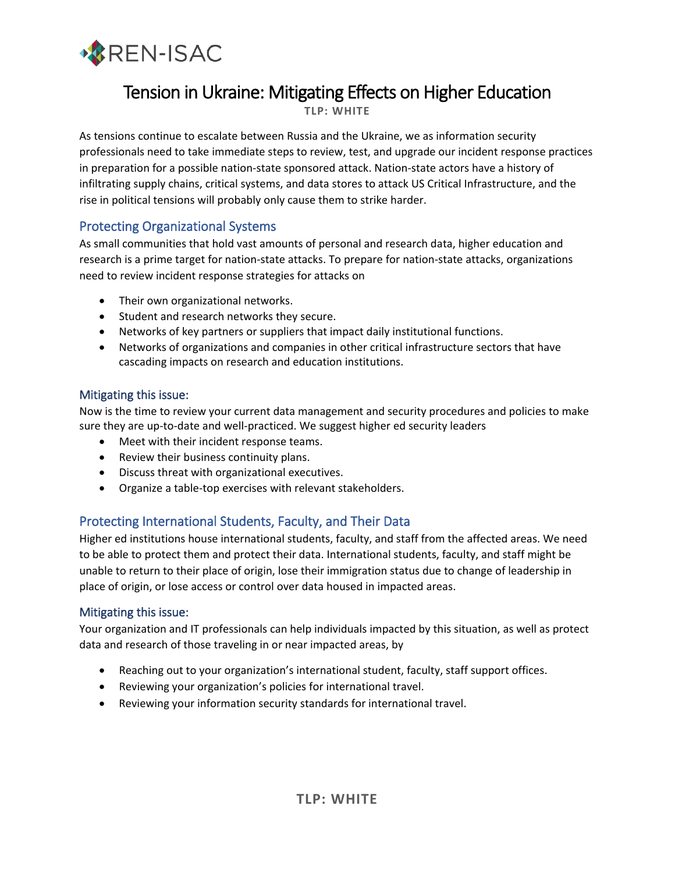

# Tension in Ukraine: Mitigating Effects on Higher Education

**TLP: WHITE**

As tensions continue to escalate between Russia and the Ukraine, we as information security professionals need to take immediate steps to review, test, and upgrade our incident response practices in preparation for a possible nation-state sponsored attack. Nation-state actors have a history of infiltrating supply chains, critical systems, and data stores to attack US Critical Infrastructure, and the rise in political tensions will probably only cause them to strike harder.

# Protecting Organizational Systems

As small communities that hold vast amounts of personal and research data, higher education and research is a prime target for nation-state attacks. To prepare for nation-state attacks, organizations need to review incident response strategies for attacks on

- Their own organizational networks.
- Student and research networks they secure.
- Networks of key partners or suppliers that impact daily institutional functions.
- Networks of organizations and companies in other critical infrastructure sectors that have cascading impacts on research and education institutions.

## Mitigating this issue:

Now is the time to review your current data management and security procedures and policies to make sure they are up-to-date and well-practiced. We suggest higher ed security leaders

- Meet with their incident response teams.
- Review their business continuity plans.
- Discuss threat with organizational executives.
- Organize a table-top exercises with relevant stakeholders.

# Protecting International Students, Faculty, and Their Data

Higher ed institutions house international students, faculty, and staff from the affected areas. We need to be able to protect them and protect their data. International students, faculty, and staff might be unable to return to their place of origin, lose their immigration status due to change of leadership in place of origin, or lose access or control over data housed in impacted areas.

## Mitigating this issue:

Your organization and IT professionals can help individuals impacted by this situation, as well as protect data and research of those traveling in or near impacted areas, by

- Reaching out to your organization's international student, faculty, staff support offices.
- Reviewing your organization's policies for international travel.
- Reviewing your information security standards for international travel.